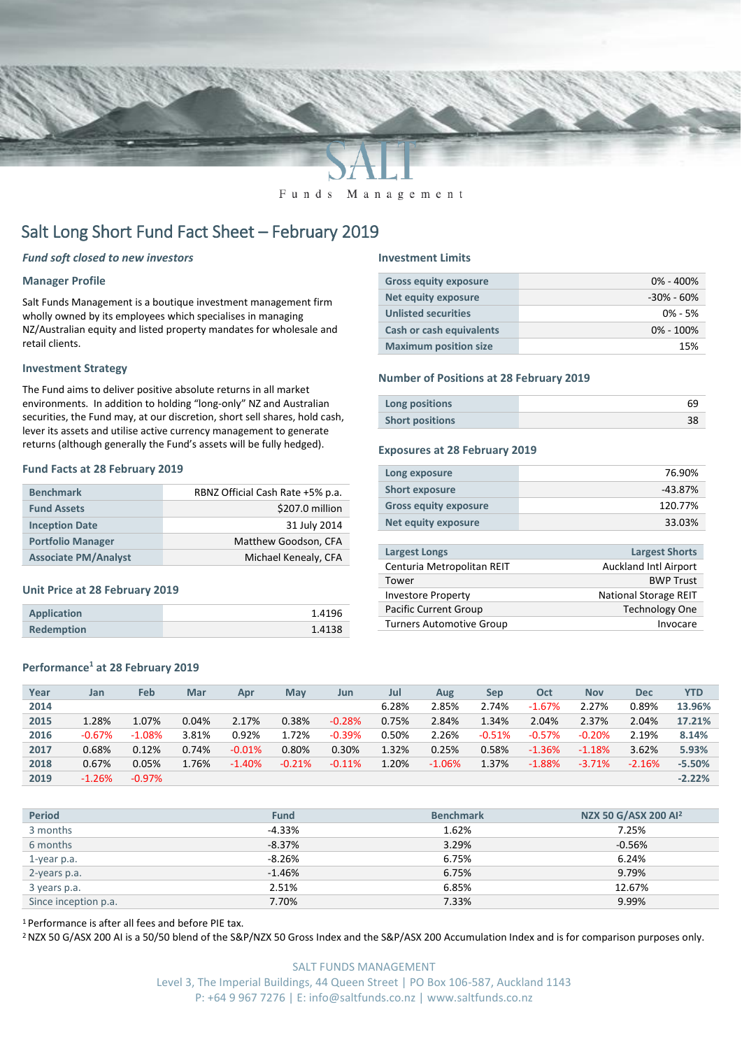

Funds Management

# Salt Long Short Fund Fact Sheet – February 2019

#### *Fund soft closed to new investors*

#### **Manager Profile**

Salt Funds Management is a boutique investment management firm wholly owned by its employees which specialises in managing NZ/Australian equity and listed property mandates for wholesale and retail clients.

#### **Investment Strategy**

The Fund aims to deliver positive absolute returns in all market environments. In addition to holding "long-only" NZ and Australian securities, the Fund may, at our discretion, short sell shares, hold cash, lever its assets and utilise active currency management to generate returns (although generally the Fund's assets will be fully hedged).

#### **Fund Facts at 28 February 2019**

| <b>Benchmark</b>            | RBNZ Official Cash Rate +5% p.a. |
|-----------------------------|----------------------------------|
| <b>Fund Assets</b>          | \$207.0 million                  |
| <b>Inception Date</b>       | 31 July 2014                     |
| <b>Portfolio Manager</b>    | Matthew Goodson, CFA             |
| <b>Associate PM/Analyst</b> | Michael Kenealy, CFA             |

#### **Unit Price at 28 February 2019**

| Application       | 1.4196 |
|-------------------|--------|
| <b>Redemption</b> | 1.4138 |

### **Performance<sup>1</sup> at 28 February 2019**

#### **Investment Limits**

| <b>Gross equity exposure</b>    | $0\% - 400\%$ |
|---------------------------------|---------------|
| <b>Net equity exposure</b>      | -30% - 60%    |
| <b>Unlisted securities</b>      | $0\% - 5\%$   |
| <b>Cash or cash equivalents</b> | $0\% - 100\%$ |
| <b>Maximum position size</b>    | 15%           |

#### **Number of Positions at 28 February 2019**

| Long positions         | 69 |
|------------------------|----|
| <b>Short positions</b> |    |

#### **Exposures at 28 February 2019**

| Long exposure                | 76.90%  |
|------------------------------|---------|
| <b>Short exposure</b>        | -43.87% |
| <b>Gross equity exposure</b> | 120.77% |
| Net equity exposure          | 33.03%  |
|                              |         |

| <b>Largest Longs</b>            | <b>Largest Shorts</b>        |
|---------------------------------|------------------------------|
| Centuria Metropolitan REIT      | <b>Auckland Intl Airport</b> |
| Tower                           | <b>BWP Trust</b>             |
| <b>Investore Property</b>       | <b>National Storage REIT</b> |
| <b>Pacific Current Group</b>    | <b>Technology One</b>        |
| <b>Turners Automotive Group</b> | Invocare                     |
|                                 |                              |

| Year | Jan      | Feb      | Mar   | Apr      | May      | Jun      | Jul   | Aug      | Sep      | Oct      | <b>Nov</b> | <b>Dec</b> | YTD      |
|------|----------|----------|-------|----------|----------|----------|-------|----------|----------|----------|------------|------------|----------|
| 2014 |          |          |       |          |          |          | 6.28% | 2.85%    | 2.74%    | $-1.67%$ | 2.27%      | 0.89%      | 13.96%   |
| 2015 | 1.28%    | 1.07%    | 0.04% | 2.17%    | 0.38%    | $-0.28%$ | 0.75% | 2.84%    | 1.34%    | 2.04%    | 2.37%      | 2.04%      | 17.21%   |
| 2016 | $-0.67%$ | $-1.08%$ | 3.81% | 0.92%    | 1.72%    | $-0.39%$ | 0.50% | 2.26%    | $-0.51%$ | $-0.57%$ | $-0.20%$   | 2.19%      | 8.14%    |
| 2017 | 0.68%    | 0.12%    | 0.74% | $-0.01%$ | 0.80%    | 0.30%    | 1.32% | 0.25%    | 0.58%    | $-1.36%$ | $-1.18%$   | 3.62%      | 5.93%    |
| 2018 | 0.67%    | 0.05%    | 1.76% | $-1.40%$ | $-0.21%$ | $-0.11%$ | 1.20% | $-1.06%$ | 1.37%    | $-1.88%$ | $-3.71%$   | $-2.16%$   | $-5.50%$ |
| 2019 | $-1.26%$ | $-0.97%$ |       |          |          |          |       |          |          |          |            |            | $-2.22%$ |
|      |          |          |       |          |          |          |       |          |          |          |            |            |          |

| <b>Period</b>        | <b>Fund</b> | <b>Benchmark</b> | NZX 50 G/ASX 200 AI <sup>2</sup> |
|----------------------|-------------|------------------|----------------------------------|
| 3 months             | $-4.33%$    | 1.62%            | 7.25%                            |
| 6 months             | $-8.37%$    | 3.29%            | $-0.56%$                         |
| 1-year p.a.          | $-8.26%$    | 6.75%            | 6.24%                            |
| 2-years p.a.         | $-1.46%$    | 6.75%            | 9.79%                            |
| 3 years p.a.         | 2.51%       | 6.85%            | 12.67%                           |
| Since inception p.a. | 7.70%       | 7.33%            | 9.99%                            |

<sup>1</sup> Performance is after all fees and before PIE tax.

<sup>2</sup> NZX 50 G/ASX 200 AI is a 50/50 blend of the S&P/NZX 50 Gross Index and the S&P/ASX 200 Accumulation Index and is for comparison purposes only.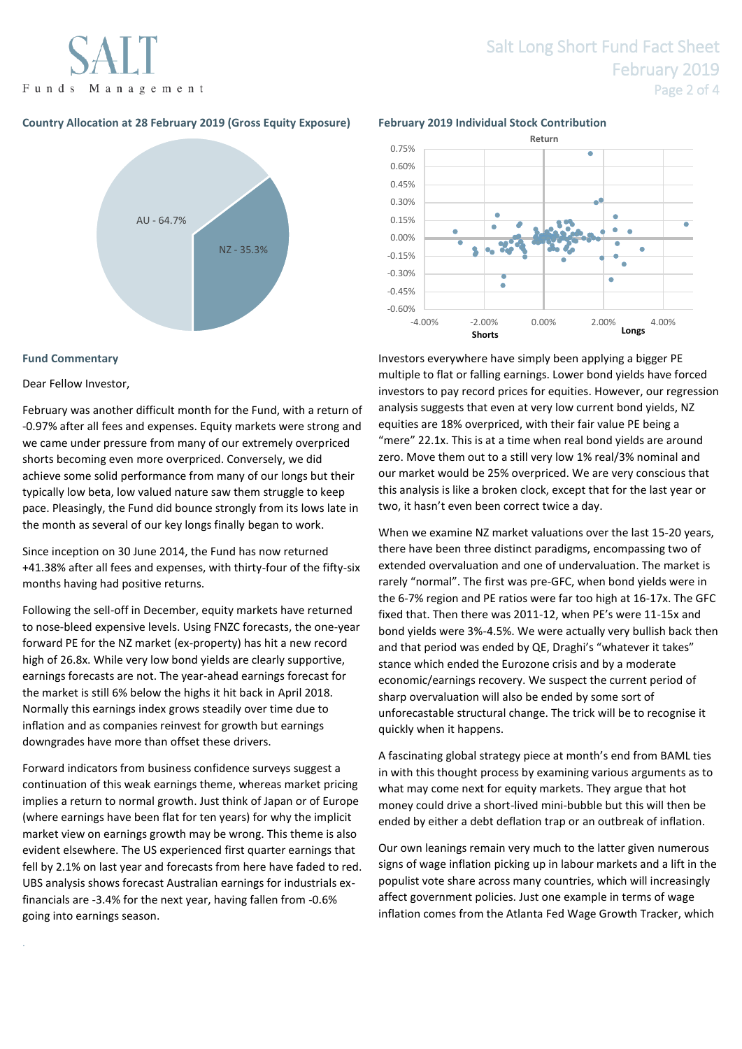Funds Management

### **Country Allocation at 28 February 2019 (Gross Equity Exposure) February 2019 Individual Stock Contribution**



#### **Fund Commentary**

.

#### Dear Fellow Investor,

February was another difficult month for the Fund, with a return of -0.97% after all fees and expenses. Equity markets were strong and we came under pressure from many of our extremely overpriced shorts becoming even more overpriced. Conversely, we did achieve some solid performance from many of our longs but their typically low beta, low valued nature saw them struggle to keep pace. Pleasingly, the Fund did bounce strongly from its lows late in the month as several of our key longs finally began to work.

Since inception on 30 June 2014, the Fund has now returned +41.38% after all fees and expenses, with thirty-four of the fifty-six months having had positive returns.

Following the sell-off in December, equity markets have returned to nose-bleed expensive levels. Using FNZC forecasts, the one-year forward PE for the NZ market (ex-property) has hit a new record high of 26.8x. While very low bond yields are clearly supportive, earnings forecasts are not. The year-ahead earnings forecast for the market is still 6% below the highs it hit back in April 2018. Normally this earnings index grows steadily over time due to inflation and as companies reinvest for growth but earnings downgrades have more than offset these drivers.

Forward indicators from business confidence surveys suggest a continuation of this weak earnings theme, whereas market pricing implies a return to normal growth. Just think of Japan or of Europe (where earnings have been flat for ten years) for why the implicit market view on earnings growth may be wrong. This theme is also evident elsewhere. The US experienced first quarter earnings that fell by 2.1% on last year and forecasts from here have faded to red. UBS analysis shows forecast Australian earnings for industrials exfinancials are -3.4% for the next year, having fallen from -0.6% going into earnings season.

## Salt Long Short Fund Fact Sheet February 2019 Page 2 of 4



Investors everywhere have simply been applying a bigger PE multiple to flat or falling earnings. Lower bond yields have forced investors to pay record prices for equities. However, our regression analysis suggests that even at very low current bond yields, NZ equities are 18% overpriced, with their fair value PE being a "mere" 22.1x. This is at a time when real bond yields are around zero. Move them out to a still very low 1% real/3% nominal and our market would be 25% overpriced. We are very conscious that this analysis is like a broken clock, except that for the last year or two, it hasn't even been correct twice a day.

When we examine NZ market valuations over the last 15-20 years, there have been three distinct paradigms, encompassing two of extended overvaluation and one of undervaluation. The market is rarely "normal". The first was pre-GFC, when bond yields were in the 6-7% region and PE ratios were far too high at 16-17x. The GFC fixed that. Then there was 2011-12, when PE's were 11-15x and bond yields were 3%-4.5%. We were actually very bullish back then and that period was ended by QE, Draghi's "whatever it takes" stance which ended the Eurozone crisis and by a moderate economic/earnings recovery. We suspect the current period of sharp overvaluation will also be ended by some sort of unforecastable structural change. The trick will be to recognise it quickly when it happens.

A fascinating global strategy piece at month's end from BAML ties in with this thought process by examining various arguments as to what may come next for equity markets. They argue that hot money could drive a short-lived mini-bubble but this will then be ended by either a debt deflation trap or an outbreak of inflation.

Our own leanings remain very much to the latter given numerous signs of wage inflation picking up in labour markets and a lift in the populist vote share across many countries, which will increasingly affect government policies. Just one example in terms of wage inflation comes from the Atlanta Fed Wage Growth Tracker, which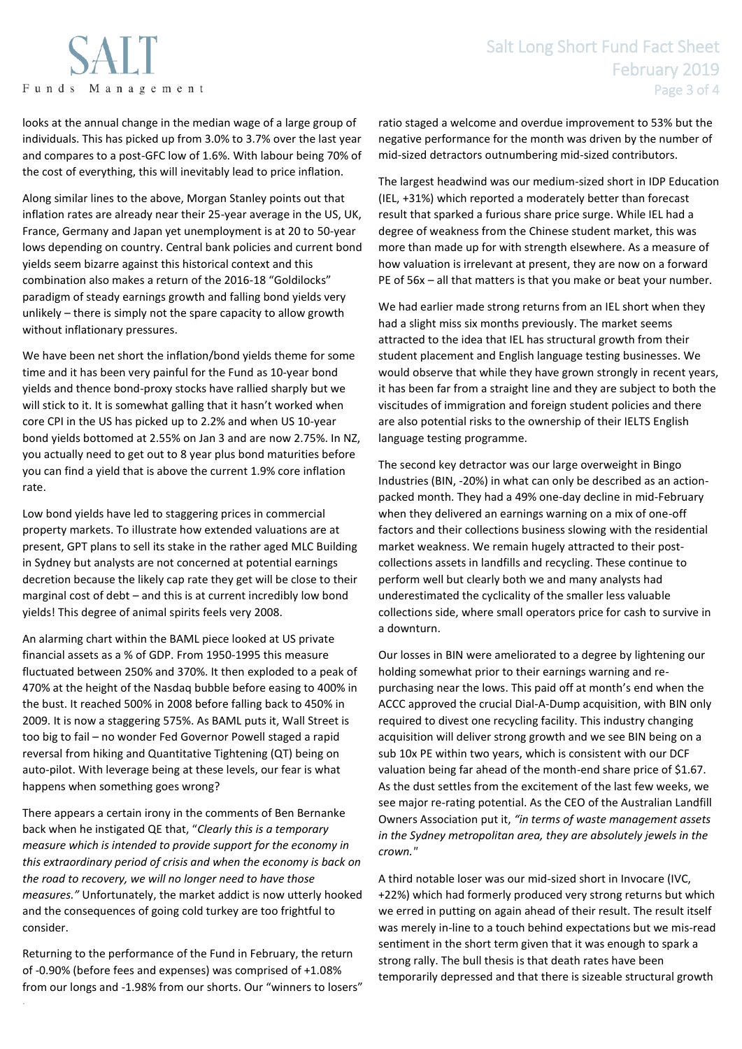looks at the annual change in the median wage of a large group of individuals. This has picked up from 3.0% to 3.7% over the last year and compares to a post-GFC low of 1.6%. With labour being 70% of the cost of everything, this will inevitably lead to price inflation.

Along similar lines to the above, Morgan Stanley points out that inflation rates are already near their 25-year average in the US, UK, France, Germany and Japan yet unemployment is at 20 to 50-year lows depending on country. Central bank policies and current bond yields seem bizarre against this historical context and this combination also makes a return of the 2016-18 "Goldilocks" paradigm of steady earnings growth and falling bond yields very unlikely – there is simply not the spare capacity to allow growth without inflationary pressures.

We have been net short the inflation/bond yields theme for some time and it has been very painful for the Fund as 10-year bond yields and thence bond-proxy stocks have rallied sharply but we will stick to it. It is somewhat galling that it hasn't worked when core CPI in the US has picked up to 2.2% and when US 10-year bond yields bottomed at 2.55% on Jan 3 and are now 2.75%. In NZ, you actually need to get out to 8 year plus bond maturities before you can find a yield that is above the current 1.9% core inflation rate.

Low bond yields have led to staggering prices in commercial property markets. To illustrate how extended valuations are at present, GPT plans to sell its stake in the rather aged MLC Building in Sydney but analysts are not concerned at potential earnings decretion because the likely cap rate they get will be close to their marginal cost of debt – and this is at current incredibly low bond yields! This degree of animal spirits feels very 2008.

An alarming chart within the BAML piece looked at US private financial assets as a % of GDP. From 1950-1995 this measure fluctuated between 250% and 370%. It then exploded to a peak of 470% at the height of the Nasdaq bubble before easing to 400% in the bust. It reached 500% in 2008 before falling back to 450% in 2009. It is now a staggering 575%. As BAML puts it, Wall Street is too big to fail – no wonder Fed Governor Powell staged a rapid reversal from hiking and Quantitative Tightening (QT) being on auto-pilot. With leverage being at these levels, our fear is what happens when something goes wrong?

There appears a certain irony in the comments of Ben Bernanke back when he instigated QE that, "*Clearly this is a temporary measure which is intended to provide support for the economy in this extraordinary period of crisis and when the economy is back on the road to recovery, we will no longer need to have those measures."* Unfortunately, the market addict is now utterly hooked and the consequences of going cold turkey are too frightful to consider.

Returning to the performance of the Fund in February, the return of -0.90% (before fees and expenses) was comprised of +1.08% from our longs and -1.98% from our shorts. Our "winners to losers"

.

ratio staged a welcome and overdue improvement to 53% but the negative performance for the month was driven by the number of mid-sized detractors outnumbering mid-sized contributors.

The largest headwind was our medium-sized short in IDP Education (IEL, +31%) which reported a moderately better than forecast result that sparked a furious share price surge. While IEL had a degree of weakness from the Chinese student market, this was more than made up for with strength elsewhere. As a measure of how valuation is irrelevant at present, they are now on a forward PE of 56x – all that matters is that you make or beat your number.

We had earlier made strong returns from an IEL short when they had a slight miss six months previously. The market seems attracted to the idea that IEL has structural growth from their student placement and English language testing businesses. We would observe that while they have grown strongly in recent years, it has been far from a straight line and they are subject to both the viscitudes of immigration and foreign student policies and there are also potential risks to the ownership of their IELTS English language testing programme.

The second key detractor was our large overweight in Bingo Industries (BIN, -20%) in what can only be described as an actionpacked month. They had a 49% one-day decline in mid-February when they delivered an earnings warning on a mix of one-off factors and their collections business slowing with the residential market weakness. We remain hugely attracted to their postcollections assets in landfills and recycling. These continue to perform well but clearly both we and many analysts had underestimated the cyclicality of the smaller less valuable collections side, where small operators price for cash to survive in a downturn.

Our losses in BIN were ameliorated to a degree by lightening our holding somewhat prior to their earnings warning and repurchasing near the lows. This paid off at month's end when the ACCC approved the crucial Dial-A-Dump acquisition, with BIN only required to divest one recycling facility. This industry changing acquisition will deliver strong growth and we see BIN being on a sub 10x PE within two years, which is consistent with our DCF valuation being far ahead of the month-end share price of \$1.67. As the dust settles from the excitement of the last few weeks, we see major re-rating potential. As the CEO of the Australian Landfill Owners Association put it, *"in terms of waste management assets in the Sydney metropolitan area, they are absolutely jewels in the crown."*

A third notable loser was our mid-sized short in Invocare (IVC, +22%) which had formerly produced very strong returns but which we erred in putting on again ahead of their result. The result itself was merely in-line to a touch behind expectations but we mis-read sentiment in the short term given that it was enough to spark a strong rally. The bull thesis is that death rates have been temporarily depressed and that there is sizeable structural growth